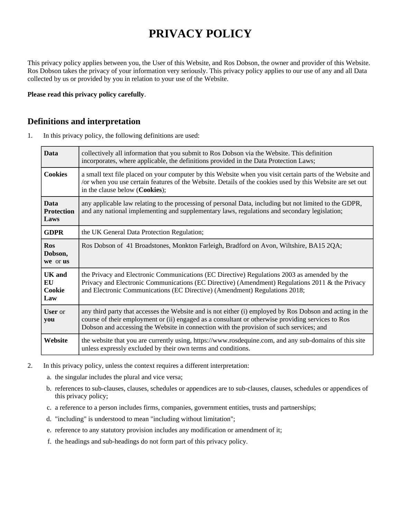# **PRIVACY POLICY**

This privacy policy applies between you, the User of this Website, and Ros Dobson, the owner and provider of this Website. Ros Dobson takes the privacy of your information very seriously. This privacy policy applies to our use of any and all Data collected by us or provided by you in relation to your use of the Website.

**Please read this privacy policy carefully**.

## **Definitions and interpretation**

1. In this privacy policy, the following definitions are used:

| <b>Data</b>                              | collectively all information that you submit to Ros Dobson via the Website. This definition<br>incorporates, where applicable, the definitions provided in the Data Protection Laws;                                                                                                                     |
|------------------------------------------|----------------------------------------------------------------------------------------------------------------------------------------------------------------------------------------------------------------------------------------------------------------------------------------------------------|
| <b>Cookies</b>                           | a small text file placed on your computer by this Website when you visit certain parts of the Website and<br>/or when you use certain features of the Website. Details of the cookies used by this Website are set out<br>in the clause below (Cookies);                                                 |
| <b>Data</b><br><b>Protection</b><br>Laws | any applicable law relating to the processing of personal Data, including but not limited to the GDPR,<br>and any national implementing and supplementary laws, regulations and secondary legislation;                                                                                                   |
| <b>GDPR</b>                              | the UK General Data Protection Regulation;                                                                                                                                                                                                                                                               |
| <b>Ros</b><br>Dobson,<br>we or us        | Ros Dobson of 41 Broadstones, Monkton Farleigh, Bradford on Avon, Wiltshire, BA15 2QA;                                                                                                                                                                                                                   |
| <b>UK</b> and<br>EU<br>Cookie<br>Law     | the Privacy and Electronic Communications (EC Directive) Regulations 2003 as amended by the<br>Privacy and Electronic Communications (EC Directive) (Amendment) Regulations 2011 & the Privacy<br>and Electronic Communications (EC Directive) (Amendment) Regulations 2018;                             |
| <b>User</b> or<br>you                    | any third party that accesses the Website and is not either (i) employed by Ros Dobson and acting in the<br>course of their employment or (ii) engaged as a consultant or otherwise providing services to Ros<br>Dobson and accessing the Website in connection with the provision of such services; and |
| Website                                  | the website that you are currently using, https://www.rosdequine.com, and any sub-domains of this site<br>unless expressly excluded by their own terms and conditions.                                                                                                                                   |

- 2. In this privacy policy, unless the context requires a different interpretation:
	- a. the singular includes the plural and vice versa;
	- b. references to sub-clauses, clauses, schedules or appendices are to sub-clauses, clauses, schedules or appendices of this privacy policy;
	- c. a reference to a person includes firms, companies, government entities, trusts and partnerships;
	- d. "including" is understood to mean "including without limitation";
	- e. reference to any statutory provision includes any modification or amendment of it;
	- f. the headings and sub-headings do not form part of this privacy policy.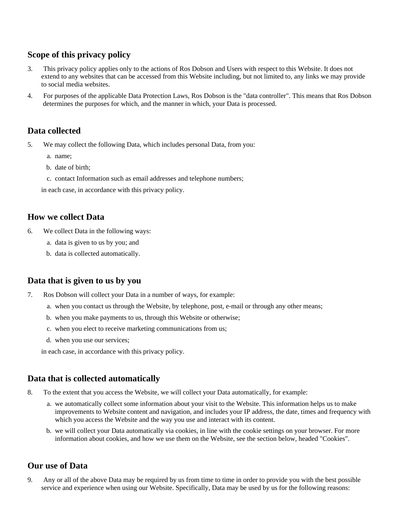## **Scope of this privacy policy**

- 3. This privacy policy applies only to the actions of Ros Dobson and Users with respect to this Website. It does not extend to any websites that can be accessed from this Website including, but not limited to, any links we may provide to social media websites.
- 4. For purposes of the applicable Data Protection Laws, Ros Dobson is the "data controller". This means that Ros Dobson determines the purposes for which, and the manner in which, your Data is processed.

## **Data collected**

- 5. We may collect the following Data, which includes personal Data, from you:
	- a. name;
	- b. date of birth;
	- c. contact Information such as email addresses and telephone numbers;

in each case, in accordance with this privacy policy.

## **How we collect Data**

- 6. We collect Data in the following ways:
	- a. data is given to us by you; and
	- b. data is collected automatically.

# **Data that is given to us by you**

- 7. Ros Dobson will collect your Data in a number of ways, for example:
	- a. when you contact us through the Website, by telephone, post, e-mail or through any other means;
	- b. when you make payments to us, through this Website or otherwise;
	- c. when you elect to receive marketing communications from us;
	- d. when you use our services;

in each case, in accordance with this privacy policy.

## **Data that is collected automatically**

- 8. To the extent that you access the Website, we will collect your Data automatically, for example:
	- a. we automatically collect some information about your visit to the Website. This information helps us to make improvements to Website content and navigation, and includes your IP address, the date, times and frequency with which you access the Website and the way you use and interact with its content.
	- b. we will collect your Data automatically via cookies, in line with the cookie settings on your browser. For more information about cookies, and how we use them on the Website, see the section below, headed "Cookies".

# **Our use of Data**

9. Any or all of the above Data may be required by us from time to time in order to provide you with the best possible service and experience when using our Website. Specifically, Data may be used by us for the following reasons: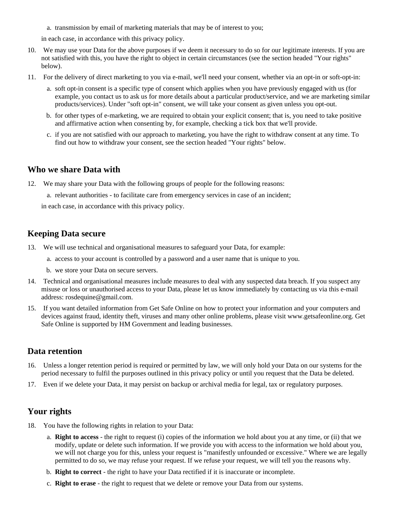a. transmission by email of marketing materials that may be of interest to you;

in each case, in accordance with this privacy policy.

- 10. We may use your Data for the above purposes if we deem it necessary to do so for our legitimate interests. If you are not satisfied with this, you have the right to object in certain circumstances (see the section headed "Your rights" below).
- 11. For the delivery of direct marketing to you via e-mail, we'll need your consent, whether via an opt-in or soft-opt-in:
	- a. soft opt-in consent is a specific type of consent which applies when you have previously engaged with us (for example, you contact us to ask us for more details about a particular product/service, and we are marketing similar products/services). Under "soft opt-in" consent, we will take your consent as given unless you opt-out.
	- b. for other types of e-marketing, we are required to obtain your explicit consent; that is, you need to take positive and affirmative action when consenting by, for example, checking a tick box that we'll provide.
	- c. if you are not satisfied with our approach to marketing, you have the right to withdraw consent at any time. To find out how to withdraw your consent, see the section headed "Your rights" below.

## **Who we share Data with**

- 12. We may share your Data with the following groups of people for the following reasons:
	- a. relevant authorities to facilitate care from emergency services in case of an incident;

in each case, in accordance with this privacy policy.

## **Keeping Data secure**

- 13. We will use technical and organisational measures to safeguard your Data, for example:
	- a. access to your account is controlled by a password and a user name that is unique to you.
	- b. we store your Data on secure servers.
- 14. Technical and organisational measures include measures to deal with any suspected data breach. If you suspect any misuse or loss or unauthorised access to your Data, please let us know immediately by contacting us via this e-mail address: rosdequine@gmail.com.
- 15. If you want detailed information from Get Safe Online on how to protect your information and your computers and devices against fraud, identity theft, viruses and many other online problems, please visit www.getsafeonline.org. Get Safe Online is supported by HM Government and leading businesses.

## **Data retention**

- 16. Unless a longer retention period is required or permitted by law, we will only hold your Data on our systems for the period necessary to fulfil the purposes outlined in this privacy policy or until you request that the Data be deleted.
- 17. Even if we delete your Data, it may persist on backup or archival media for legal, tax or regulatory purposes.

## **Your rights**

- 18. You have the following rights in relation to your Data:
	- a. **Right to access** the right to request (i) copies of the information we hold about you at any time, or (ii) that we modify, update or delete such information. If we provide you with access to the information we hold about you, we will not charge you for this, unless your request is "manifestly unfounded or excessive." Where we are legally permitted to do so, we may refuse your request. If we refuse your request, we will tell you the reasons why.
	- b. **Right to correct** the right to have your Data rectified if it is inaccurate or incomplete.
	- c. **Right to erase** the right to request that we delete or remove your Data from our systems.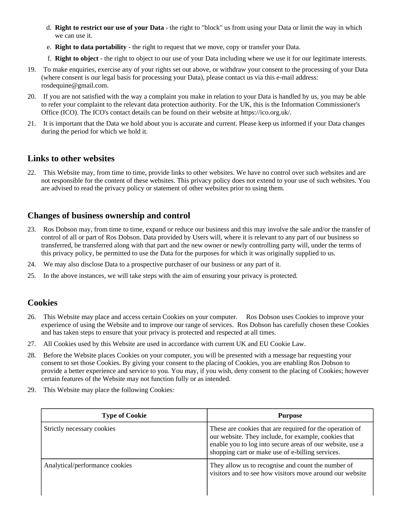- d. **Right to restrict our use of your Data** the right to "block" us from using your Data or limit the way in which we can use it.
- e. **Right to data portability** the right to request that we move, copy or transfer your Data.
- f. **Right to object** the right to object to our use of your Data including where we use it for our legitimate interests.
- 19. To make enquiries, exercise any of your rights set out above, or withdraw your consent to the processing of your Data (where consent is our legal basis for processing your Data), please contact us via this e-mail address: rosdequine@gmail.com.
- 20. If you are not satisfied with the way a complaint you make in relation to your Data is handled by us, you may be able to refer your complaint to the relevant data protection authority. For the UK, this is the Information Commissioner's Office (ICO). The ICO's contact details can be found on their website at https://ico.org.uk/.
- 21. It is important that the Data we hold about you is accurate and current. Please keep us informed if your Data changes during the period for which we hold it.

## **Links to other websites**

22. This Website may, from time to time, provide links to other websites. We have no control over such websites and are not responsible for the content of these websites. This privacy policy does not extend to your use of such websites. You are advised to read the privacy policy or statement of other websites prior to using them.

## **Changes of business ownership and control**

- 23. Ros Dobson may, from time to time, expand or reduce our business and this may involve the sale and/or the transfer of control of all or part of Ros Dobson. Data provided by Users will, where it is relevant to any part of our business so transferred, be transferred along with that part and the new owner or newly controlling party will, under the terms of this privacy policy, be permitted to use the Data for the purposes for which it was originally supplied to us.
- 24. We may also disclose Data to a prospective purchaser of our business or any part of it.
- 25. In the above instances, we will take steps with the aim of ensuring your privacy is protected.

## **Cookies**

- 26. This Website may place and access certain Cookies on your computer. Ros Dobson uses Cookies to improve your experience of using the Website and to improve our range of services. Ros Dobson has carefully chosen these Cookies and has taken steps to ensure that your privacy is protected and respected at all times.
- 27. All Cookies used by this Website are used in accordance with current UK and EU Cookie Law.
- 28. Before the Website places Cookies on your computer, you will be presented with a message bar requesting your consent to set those Cookies. By giving your consent to the placing of Cookies, you are enabling Ros Dobson to provide a better experience and service to you. You may, if you wish, deny consent to the placing of Cookies; however certain features of the Website may not function fully or as intended.
- 29. This Website may place the following Cookies:

| <b>Type of Cookie</b>          | <b>Purpose</b>                                                                                                                                                                                                                    |
|--------------------------------|-----------------------------------------------------------------------------------------------------------------------------------------------------------------------------------------------------------------------------------|
| Strictly necessary cookies     | These are cookies that are required for the operation of<br>our website. They include, for example, cookies that<br>enable you to log into secure areas of our website, use a<br>shopping cart or make use of e-billing services. |
| Analytical/performance cookies | They allow us to recognise and count the number of<br>visitors and to see how visitors move around our website                                                                                                                    |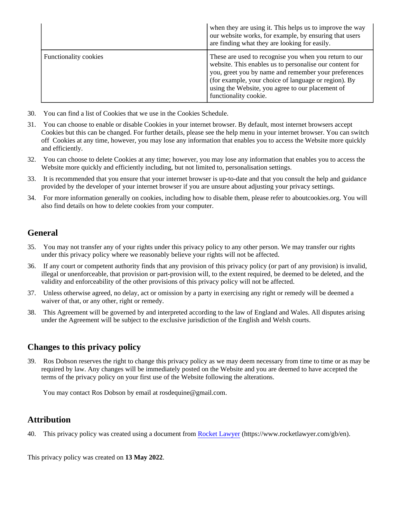|                              | when they are using it. This helps us to improve the way<br>our website works, for example, by ensuring that users<br>are finding what they are looking for easily.                                                                                                                                            |
|------------------------------|----------------------------------------------------------------------------------------------------------------------------------------------------------------------------------------------------------------------------------------------------------------------------------------------------------------|
| <b>Functionality cookies</b> | These are used to recognise you when you return to our<br>website. This enables us to personalise our content for<br>you, greet you by name and remember your preferences<br>(for example, your choice of language or region). By<br>using the Website, you agree to our placement of<br>functionality cookie. |

- 30. You can find a list of Cookies that we use in the Cookies Schedule.
- 31. You can choose to enable or disable Cookies in your internet browser. By default, most internet browsers accept Cookies but this can be changed. For further details, please see the help menu in your internet browser. You can switch off Cookies at any time, however, you may lose any information that enables you to access the Website more quickly and efficiently.
- 32. You can choose to delete Cookies at any time; however, you may lose any information that enables you to access the Website more quickly and efficiently including, but not limited to, personalisation settings.
- 33. It is recommended that you ensure that your internet browser is up-to-date and that you consult the help and guidance provided by the developer of your internet browser if you are unsure about adjusting your privacy settings.
- 34. For more information generally on cookies, including how to disable them, please refer to aboutcookies.org. You will also find details on how to delete cookies from your computer.

## **General**

- 35. You may not transfer any of your rights under this privacy policy to any other person. We may transfer our rights under this privacy policy where we reasonably believe your rights will not be affected.
- 36. If any court or competent authority finds that any provision of this privacy policy (or part of any provision) is invalid, illegal or unenforceable, that provision or part-provision will, to the extent required, be deemed to be deleted, and the validity and enforceability of the other provisions of this privacy policy will not be affected.
- 37. Unless otherwise agreed, no delay, act or omission by a party in exercising any right or remedy will be deemed a waiver of that, or any other, right or remedy.
- 38. This Agreement will be governed by and interpreted according to the law of England and Wales. All disputes arising under the Agreement will be subject to the exclusive jurisdiction of the English and Welsh courts.

## **Changes to this privacy policy**

39. Ros Dobson reserves the right to change this privacy policy as we may deem necessary from time to time or as may be required by law. Any changes will be immediately posted on the Website and you are deemed to have accepted the terms of the privacy policy on your first use of the Website following the alterations.

You may contact Ros Dobson by email at rosdequine@gmail.com.

## **Attribution**

40. This privacy policy was created using a document from [Rocket Lawyer](https://www.rocketlawyer.com/gb/en/) (https://www.rocketlawyer.com/gb/en).

This privacy policy was created on **13 May 2022**.